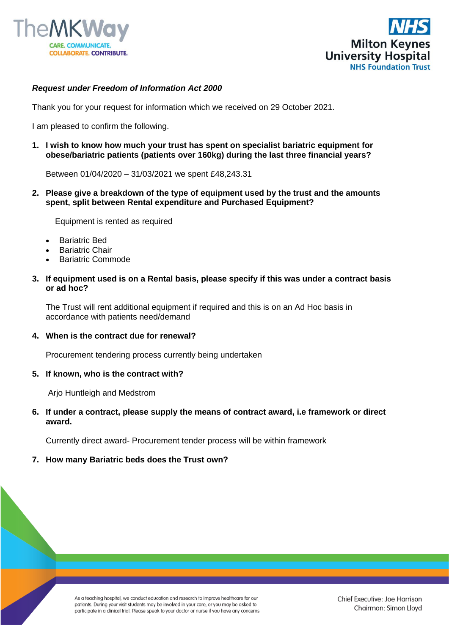



# *Request under Freedom of Information Act 2000*

Thank you for your request for information which we received on 29 October 2021.

I am pleased to confirm the following.

**1. I wish to know how much your trust has spent on specialist bariatric equipment for obese/bariatric patients (patients over 160kg) during the last three financial years?**

Between 01/04/2020 – 31/03/2021 we spent £48,243.31

**2. Please give a breakdown of the type of equipment used by the trust and the amounts spent, split between Rental expenditure and Purchased Equipment?**

Equipment is rented as required

- Bariatric Bed
- **Bariatric Chair**
- Bariatric Commode
- **3. If equipment used is on a Rental basis, please specify if this was under a contract basis or ad hoc?**

The Trust will rent additional equipment if required and this is on an Ad Hoc basis in accordance with patients need/demand

### **4. When is the contract due for renewal?**

Procurement tendering process currently being undertaken

### **5. If known, who is the contract with?**

Arjo Huntleigh and Medstrom

## **6. If under a contract, please supply the means of contract award, i.e framework or direct award.**

Currently direct award- Procurement tender process will be within framework

### **7. How many Bariatric beds does the Trust own?**

As a teaching hospital, we conduct education and research to improve healthcare for our patients. During your visit students may be involved in your care, or you may be asked to participate in a clinical trial. Please speak to your doctor or nurse if you have any concerns.